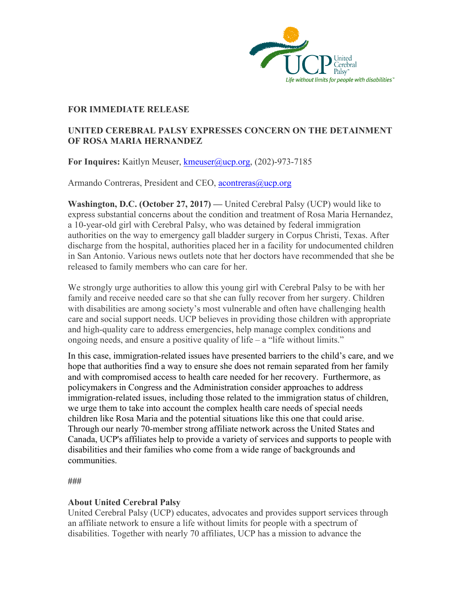

## **FOR IMMEDIATE RELEASE**

## **UNITED CEREBRAL PALSY EXPRESSES CONCERN ON THE DETAINMENT OF ROSA MARIA HERNANDEZ**

**For Inquires:** Kaitlyn Meuser, kmeuser@ucp.org, (202)-973-7185

Armando Contreras, President and CEO, acontreras@ucp.org

**Washington, D.C. (October 27, 2017) —** United Cerebral Palsy (UCP) would like to express substantial concerns about the condition and treatment of Rosa Maria Hernandez, a 10-year-old girl with Cerebral Palsy, who was detained by federal immigration authorities on the way to emergency gall bladder surgery in Corpus Christi, Texas. After discharge from the hospital, authorities placed her in a facility for undocumented children in San Antonio. Various news outlets note that her doctors have recommended that she be released to family members who can care for her.

We strongly urge authorities to allow this young girl with Cerebral Palsy to be with her family and receive needed care so that she can fully recover from her surgery. Children with disabilities are among society's most vulnerable and often have challenging health care and social support needs. UCP believes in providing those children with appropriate and high-quality care to address emergencies, help manage complex conditions and ongoing needs, and ensure a positive quality of life  $-$  a "life without limits."

In this case, immigration-related issues have presented barriers to the child's care, and we hope that authorities find a way to ensure she does not remain separated from her family and with compromised access to health care needed for her recovery. Furthermore, as policymakers in Congress and the Administration consider approaches to address immigration-related issues, including those related to the immigration status of children, we urge them to take into account the complex health care needs of special needs children like Rosa Maria and the potential situations like this one that could arise. Through our nearly 70-member strong affiliate network across the United States and Canada, UCP's affiliates help to provide a variety of services and supports to people with disabilities and their families who come from a wide range of backgrounds and communities.

**###**

## **About United Cerebral Palsy**

United Cerebral Palsy (UCP) educates, advocates and provides support services through an affiliate network to ensure a life without limits for people with a spectrum of disabilities. Together with nearly 70 affiliates, UCP has a mission to advance the